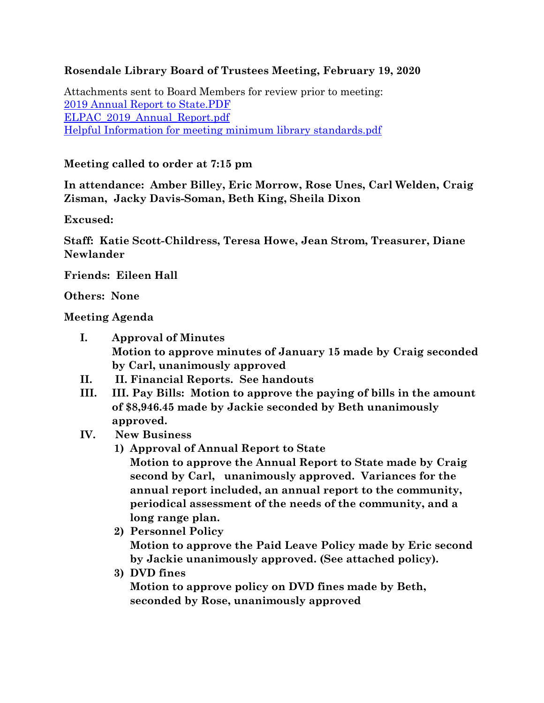# **Rosendale Library Board of Trustees Meeting, February 19, 2020**

Attachments sent to Board Members for review prior to meeting: [2019 Annual Report to State.PDF](https://rosendalelibrary.org/files/2020/02/2019-Annual-Report-to-State.pdf) [ELPAC\\_2019\\_Annual\\_Report.pdf](https://d3n8a8pro7vhmx.cloudfront.net/votelibraries/pages/3079/attachments/original/1579538915/ELPAC_2019_Annual_Report.pdf) [Helpful Information for meeting minimum library standards.pdf](http://www.nysl.nysed.gov/libdev/helpful/helpful.pdf)

# **Meeting called to order at 7:15 pm**

**In attendance: Amber Billey, Eric Morrow, Rose Unes, Carl Welden, Craig Zisman, Jacky Davis-Soman, Beth King, Sheila Dixon**

**Excused:** 

**Staff: Katie Scott-Childress, Teresa Howe, Jean Strom, Treasurer, Diane Newlander**

**Friends: Eileen Hall**

**Others: None**

### **Meeting Agenda**

- **I. Approval of Minutes Motion to approve minutes of January 15 made by Craig seconded by Carl, unanimously approved**
- **II. II. Financial Reports. See handouts**
- **III. III. Pay Bills: Motion to approve the paying of bills in the amount of \$8,946.45 made by Jackie seconded by Beth unanimously approved.**
- **IV. New Business** 
	- **1) Approval of Annual Report to State Motion to approve the Annual Report to State made by Craig second by Carl, unanimously approved. Variances for the annual report included, an annual report to the community, periodical assessment of the needs of the community, and a long range plan.**
	- **2) Personnel Policy**

**Motion to approve the Paid Leave Policy made by Eric second by Jackie unanimously approved. (See attached policy).**

**3) DVD fines**

**Motion to approve policy on DVD fines made by Beth, seconded by Rose, unanimously approved**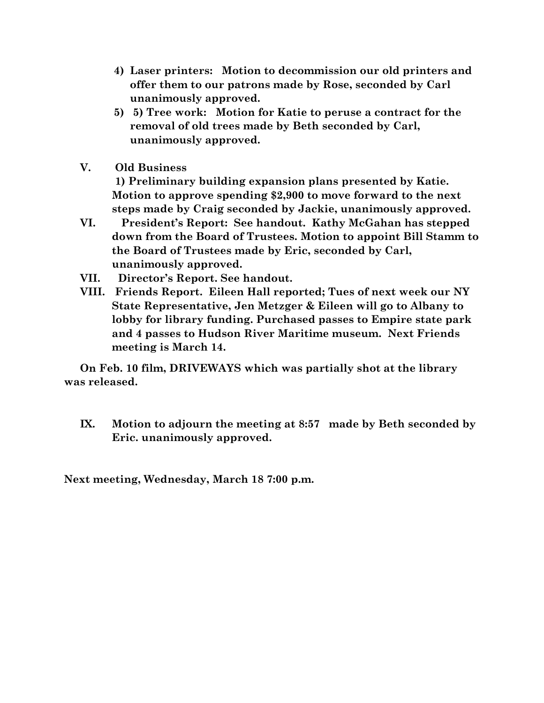- **4) Laser printers: Motion to decommission our old printers and offer them to our patrons made by Rose, seconded by Carl unanimously approved.**
- **5) 5) Tree work: Motion for Katie to peruse a contract for the removal of old trees made by Beth seconded by Carl, unanimously approved.**
- **V. Old Business**

**1) Preliminary building expansion plans presented by Katie. Motion to approve spending \$2,900 to move forward to the next steps made by Craig seconded by Jackie, unanimously approved.**

- **VI. President's Report: See handout. Kathy McGahan has stepped down from the Board of Trustees. Motion to appoint Bill Stamm to the Board of Trustees made by Eric, seconded by Carl, unanimously approved.**
- **VII. Director's Report. See handout.**
- **VIII. Friends Report. Eileen Hall reported; Tues of next week our NY State Representative, Jen Metzger & Eileen will go to Albany to lobby for library funding. Purchased passes to Empire state park and 4 passes to Hudson River Maritime museum. Next Friends meeting is March 14.**

**On Feb. 10 film, DRIVEWAYS which was partially shot at the library was released.**

**IX. Motion to adjourn the meeting at 8:57 made by Beth seconded by Eric. unanimously approved.**

**Next meeting, Wednesday, March 18 7:00 p.m.**